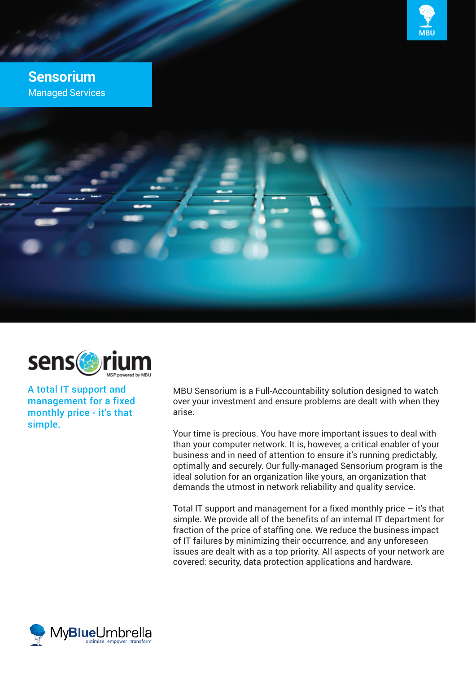

# **Sensorium** Managed Services





A total IT support and management for a fixed monthly price - it's that simple.

MBU Sensorium is a Full-Accountability solution designed to watch over your investment and ensure problems are dealt with when they arise.

Your time is precious. You have more important issues to deal with than your computer network. It is, however, a critical enabler of your business and in need of attention to ensure it's running predictably, optimally and securely. Our fully-managed Sensorium program is the ideal solution for an organization like yours, an organization that demands the utmost in network reliability and quality service.

Total IT support and management for a fixed monthly price  $-$  it's that simple. We provide all of the benefits of an internal IT department for fraction of the price of staffing one. We reduce the business impact of IT failures by minimizing their occurrence, and any unforeseen issues are dealt with as a top priority. All aspects of your network are covered: security, data protection applications and hardware.

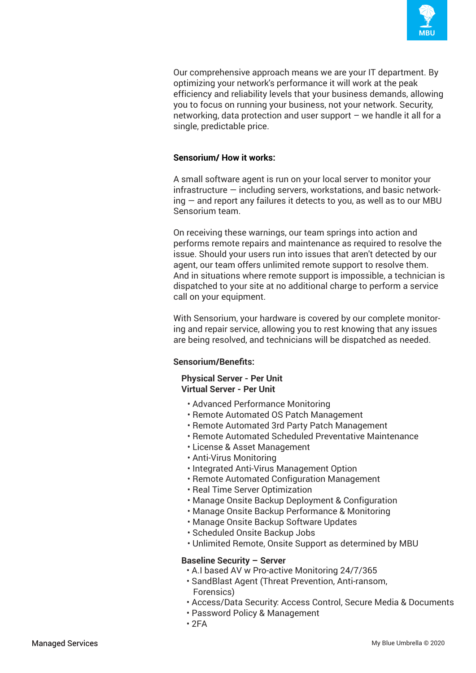

Our comprehensive approach means we are your IT department. By optimizing your network's performance it will work at the peak efficiency and reliability levels that your business demands, allowing you to focus on running your business, not your network. Security, networking, data protection and user support – we handle it all for a single, predictable price.

## **Sensorium/ How it works:**

A small software agent is run on your local server to monitor your infrastructure — including servers, workstations, and basic networking — and report any failures it detects to you, as well as to our MBU Sensorium team.

On receiving these warnings, our team springs into action and performs remote repairs and maintenance as required to resolve the issue. Should your users run into issues that aren't detected by our agent, our team offers unlimited remote support to resolve them. And in situations where remote support is impossible, a technician is dispatched to your site at no additional charge to perform a service call on your equipment.

With Sensorium, your hardware is covered by our complete monitoring and repair service, allowing you to rest knowing that any issues are being resolved, and technicians will be dispatched as needed.

## **Sensorium/Benefits:**

### **Physical Server - Per Unit Virtual Server - Per Unit**

- Advanced Performance Monitoring
- Remote Automated OS Patch Management
- Remote Automated 3rd Party Patch Management
- Remote Automated Scheduled Preventative Maintenance
- License & Asset Management
- Anti-Virus Monitoring
- Integrated Anti-Virus Management Option
- Remote Automated Configuration Management
- Real Time Server Optimization
- Manage Onsite Backup Deployment & Configuration
- Manage Onsite Backup Performance & Monitoring
- Manage Onsite Backup Software Updates
- Scheduled Onsite Backup Jobs
- Unlimited Remote, Onsite Support as determined by MBU

### **Baseline Security – Server**

- A.I based AV w Pro-active Monitoring 24/7/365
- SandBlast Agent (Threat Prevention, Anti-ransom, Forensics)
- Access/Data Security: Access Control, Secure Media & Documents
- Password Policy & Management
- $2FA$